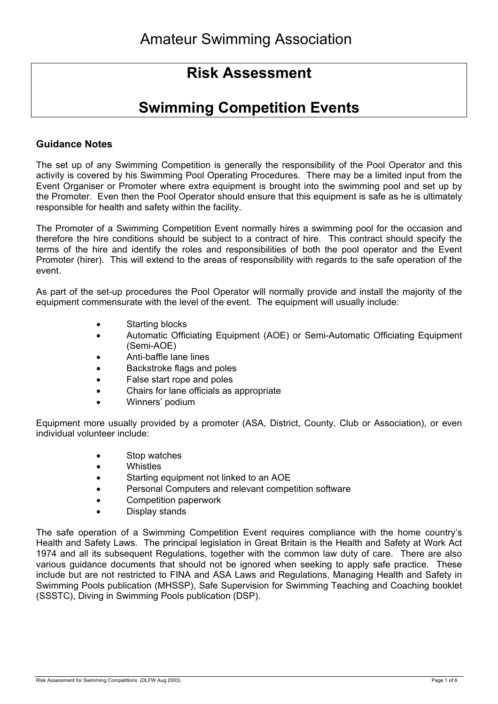# **Risk Assessment**

# **Swimming Competition Events**

## **Guidance Notes**

The set up of any Swimming Competition is generally the responsibility of the Pool Operator and this activity is covered by his Swimming Pool Operating Procedures. There may be a limited input from the Event Organiser or Promoter where extra equipment is brought into the swimming pool and set up by the Promoter. Even then the Pool Operator should ensure that this equipment is safe as he is ultimately responsible for health and safety within the facility.

The Promoter of a Swimming Competition Event normally hires a swimming pool for the occasion and therefore the hire conditions should be subject to a contract of hire. This contract should specify the terms of the hire and identify the roles and responsibilities of both the pool operator and the Event Promoter (hirer). This will extend to the areas of responsibility with regards to the safe operation of the event.

As part of the set-up procedures the Pool Operator will normally provide and install the majority of the equipment commensurate with the level of the event. The equipment will usually include:

- Starting blocks
- Automatic Officiating Equipment (AOE) or Semi-Automatic Officiating Equipment (Semi-AOE)
- Anti-baffle lane lines
- Backstroke flags and poles
- False start rope and poles
- Chairs for lane officials as appropriate
- Winners' podium

Equipment more usually provided by a promoter (ASA, District, County, Club or Association), or even individual volunteer include:

- Stop watches
- Whistles
- Starting equipment not linked to an AOE
- Personal Computers and relevant competition software
- Competition paperwork
- Display stands

The safe operation of a Swimming Competition Event requires compliance with the home country's Health and Safety Laws. The principal legislation in Great Britain is the Health and Safety at Work Act 1974 and all its subsequent Regulations, together with the common law duty of care. There are also various guidance documents that should not be ignored when seeking to apply safe practice. These include but are not restricted to FINA and ASA Laws and Regulations, Managing Health and Safety in Swimming Pools publication (MHSSP), Safe Supervision for Swimming Teaching and Coaching booklet (SSSTC), Diving in Swimming Pools publication (DSP).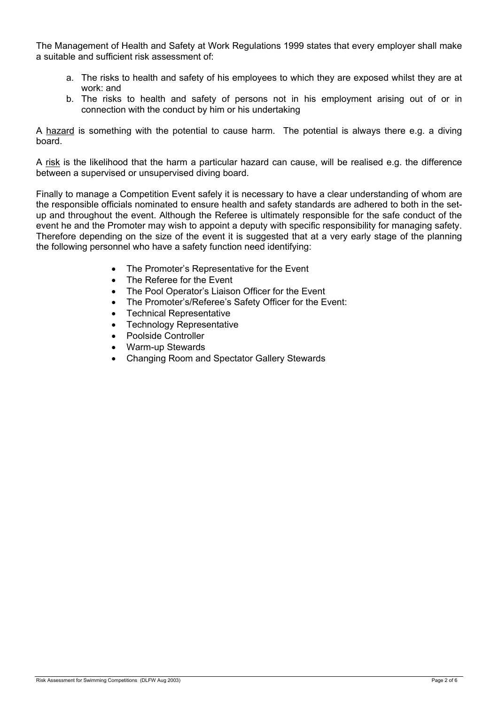The Management of Health and Safety at Work Regulations 1999 states that every employer shall make a suitable and sufficient risk assessment of:

- a. The risks to health and safety of his employees to which they are exposed whilst they are at work: and
- b. The risks to health and safety of persons not in his employment arising out of or in connection with the conduct by him or his undertaking

A hazard is something with the potential to cause harm. The potential is always there e.g. a diving board.

A risk is the likelihood that the harm a particular hazard can cause, will be realised e.g. the difference between a supervised or unsupervised diving board.

Finally to manage a Competition Event safely it is necessary to have a clear understanding of whom are the responsible officials nominated to ensure health and safety standards are adhered to both in the setup and throughout the event. Although the Referee is ultimately responsible for the safe conduct of the event he and the Promoter may wish to appoint a deputy with specific responsibility for managing safety. Therefore depending on the size of the event it is suggested that at a very early stage of the planning the following personnel who have a safety function need identifying:

- The Promoter's Representative for the Event
- The Referee for the Event
- The Pool Operator's Liaison Officer for the Event
- The Promoter's/Referee's Safety Officer for the Event:
- Technical Representative
- Technology Representative
- Poolside Controller
- Warm-up Stewards
- Changing Room and Spectator Gallery Stewards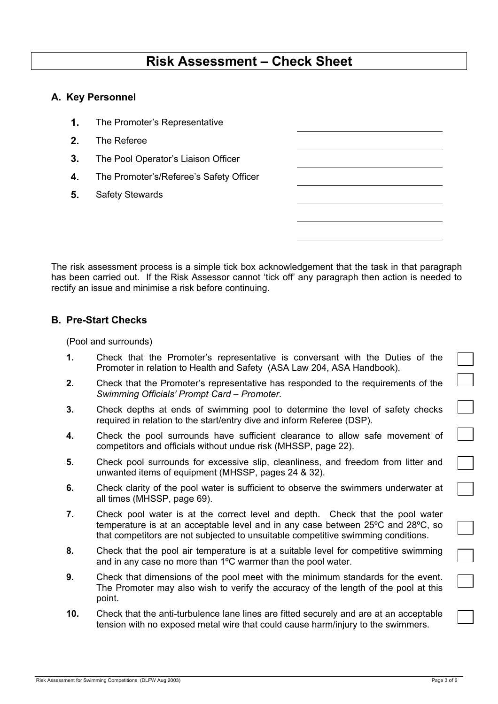# **Risk Assessment – Check Sheet**

#### **A. Key Personnel**

- **1.** The Promoter's Representative
- **2.** The Referee
- **3.** The Pool Operator's Liaison Officer
- **4.** The Promoter's/Referee's Safety Officer
- **5.** Safety Stewards

The risk assessment process is a simple tick box acknowledgement that the task in that paragraph has been carried out. If the Risk Assessor cannot 'tick off' any paragraph then action is needed to rectify an issue and minimise a risk before continuing.

#### **B. Pre-Start Checks**

(Pool and surrounds)

- **1.** Check that the Promoter's representative is conversant with the Duties of the Promoter in relation to Health and Safety (ASA Law 204, ASA Handbook).
- **2.** Check that the Promoter's representative has responded to the requirements of the *Swimming Officials' Prompt Card – Promoter*.
- **3.** Check depths at ends of swimming pool to determine the level of safety checks required in relation to the start/entry dive and inform Referee (DSP).
- **4.** Check the pool surrounds have sufficient clearance to allow safe movement of competitors and officials without undue risk (MHSSP, page 22).
- **5.** Check pool surrounds for excessive slip, cleanliness, and freedom from litter and unwanted items of equipment (MHSSP, pages 24 & 32).
- **6.** Check clarity of the pool water is sufficient to observe the swimmers underwater at all times (MHSSP, page 69).
- **7.** Check pool water is at the correct level and depth. Check that the pool water temperature is at an acceptable level and in any case between 25ºC and 28ºC, so that competitors are not subjected to unsuitable competitive swimming conditions.
- **8.** Check that the pool air temperature is at a suitable level for competitive swimming and in any case no more than 1ºC warmer than the pool water.
- **9.** Check that dimensions of the pool meet with the minimum standards for the event. The Promoter may also wish to verify the accuracy of the length of the pool at this point.
- **10.** Check that the anti-turbulence lane lines are fitted securely and are at an acceptable tension with no exposed metal wire that could cause harm/injury to the swimmers.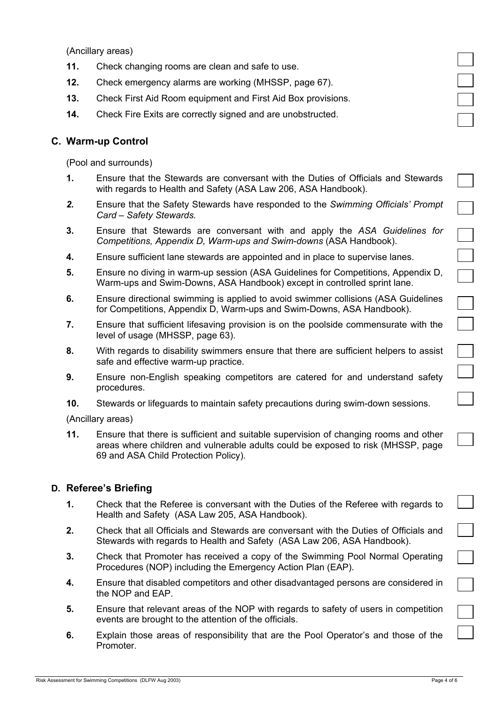(Ancillary areas)

- **11.** Check changing rooms are clean and safe to use.
- **12.** Check emergency alarms are working (MHSSP, page 67).
- **13.** Check First Aid Room equipment and First Aid Box provisions.
- **14.** Check Fire Exits are correctly signed and are unobstructed.

## **C. Warm-up Control**

(Pool and surrounds)

- **1.** Ensure that the Stewards are conversant with the Duties of Officials and Stewards with regards to Health and Safety (ASA Law 206, ASA Handbook).
- *2.* Ensure that the Safety Stewards have responded to the *Swimming Officials' Prompt Card – Safety Stewards.*
- **3.** Ensure that Stewards are conversant with and apply the *ASA Guidelines for Competitions, Appendix D, Warm-ups and Swim-downs* (ASA Handbook).
- **4.** Ensure sufficient lane stewards are appointed and in place to supervise lanes.
- **5.** Ensure no diving in warm-up session (ASA Guidelines for Competitions, Appendix D, Warm-ups and Swim-Downs, ASA Handbook) except in controlled sprint lane.
- **6.** Ensure directional swimming is applied to avoid swimmer collisions (ASA Guidelines for Competitions, Appendix D, Warm-ups and Swim-Downs, ASA Handbook).
- **7.** Ensure that sufficient lifesaving provision is on the poolside commensurate with the level of usage (MHSSP, page 63).
- **8.** With regards to disability swimmers ensure that there are sufficient helpers to assist safe and effective warm-up practice.
- **9.** Ensure non-English speaking competitors are catered for and understand safety procedures.
- **10.** Stewards or lifeguards to maintain safety precautions during swim-down sessions.

(Ancillary areas)

**11.** Ensure that there is sufficient and suitable supervision of changing rooms and other areas where children and vulnerable adults could be exposed to risk (MHSSP, page 69 and ASA Child Protection Policy).

#### **D. Referee's Briefing**

- **1.** Check that the Referee is conversant with the Duties of the Referee with regards to Health and Safety (ASA Law 205, ASA Handbook).
- **2.** Check that all Officials and Stewards are conversant with the Duties of Officials and Stewards with regards to Health and Safety (ASA Law 206, ASA Handbook).
- **3.** Check that Promoter has received a copy of the Swimming Pool Normal Operating Procedures (NOP) including the Emergency Action Plan (EAP).
- **4.** Ensure that disabled competitors and other disadvantaged persons are considered in the NOP and EAP.
- **5.** Ensure that relevant areas of the NOP with regards to safety of users in competition events are brought to the attention of the officials.
- **6.** Explain those areas of responsibility that are the Pool Operator's and those of the Promoter.

 $\frac{1}{1}$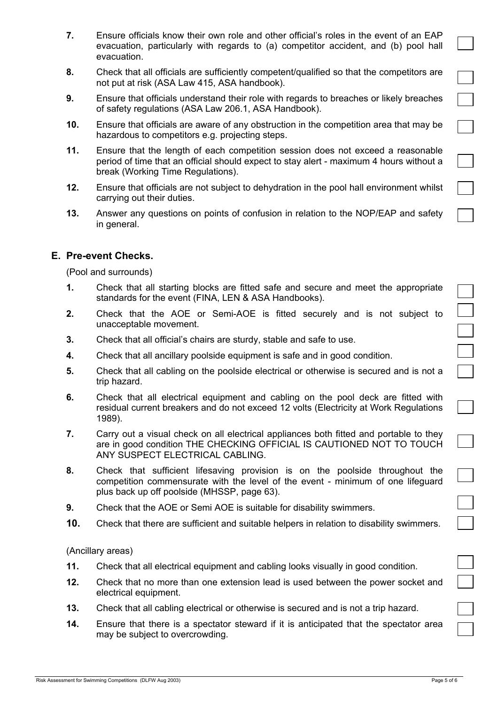- **7.** Ensure officials know their own role and other official's roles in the event of an EAP evacuation, particularly with regards to (a) competitor accident, and (b) pool hall evacuation.
- **8.** Check that all officials are sufficiently competent/qualified so that the competitors are not put at risk (ASA Law 415, ASA handbook).
- **9.** Ensure that officials understand their role with regards to breaches or likely breaches of safety regulations (ASA Law 206.1, ASA Handbook).
- **10.** Ensure that officials are aware of any obstruction in the competition area that may be hazardous to competitors e.g. projecting steps.
- **11.** Ensure that the length of each competition session does not exceed a reasonable period of time that an official should expect to stay alert - maximum 4 hours without a break (Working Time Regulations).
- **12.** Ensure that officials are not subject to dehydration in the pool hall environment whilst carrying out their duties.
- **13.** Answer any questions on points of confusion in relation to the NOP/EAP and safety in general.

## **E. Pre-event Checks.**

(Pool and surrounds)

- **1.** Check that all starting blocks are fitted safe and secure and meet the appropriate standards for the event (FINA, LEN & ASA Handbooks).
- **2.** Check that the AOE or Semi-AOE is fitted securely and is not subject to unacceptable movement.
- **3.** Check that all official's chairs are sturdy, stable and safe to use.
- **4.** Check that all ancillary poolside equipment is safe and in good condition.
- **5.** Check that all cabling on the poolside electrical or otherwise is secured and is not a trip hazard.
- **6.** Check that all electrical equipment and cabling on the pool deck are fitted with residual current breakers and do not exceed 12 volts (Electricity at Work Regulations 1989).
- **7.** Carry out a visual check on all electrical appliances both fitted and portable to they are in good condition THE CHECKING OFFICIAL IS CAUTIONED NOT TO TOUCH ANY SUSPECT ELECTRICAL CABLING.
- **8.** Check that sufficient lifesaving provision is on the poolside throughout the competition commensurate with the level of the event - minimum of one lifeguard plus back up off poolside (MHSSP, page 63).
- **9.** Check that the AOE or Semi AOE is suitable for disability swimmers.
- **10.** Check that there are sufficient and suitable helpers in relation to disability swimmers.

(Ancillary areas)

- **11.** Check that all electrical equipment and cabling looks visually in good condition.
- **12.** Check that no more than one extension lead is used between the power socket and electrical equipment.
- **13.** Check that all cabling electrical or otherwise is secured and is not a trip hazard.
- **14.** Ensure that there is a spectator steward if it is anticipated that the spectator area may be subject to overcrowding.